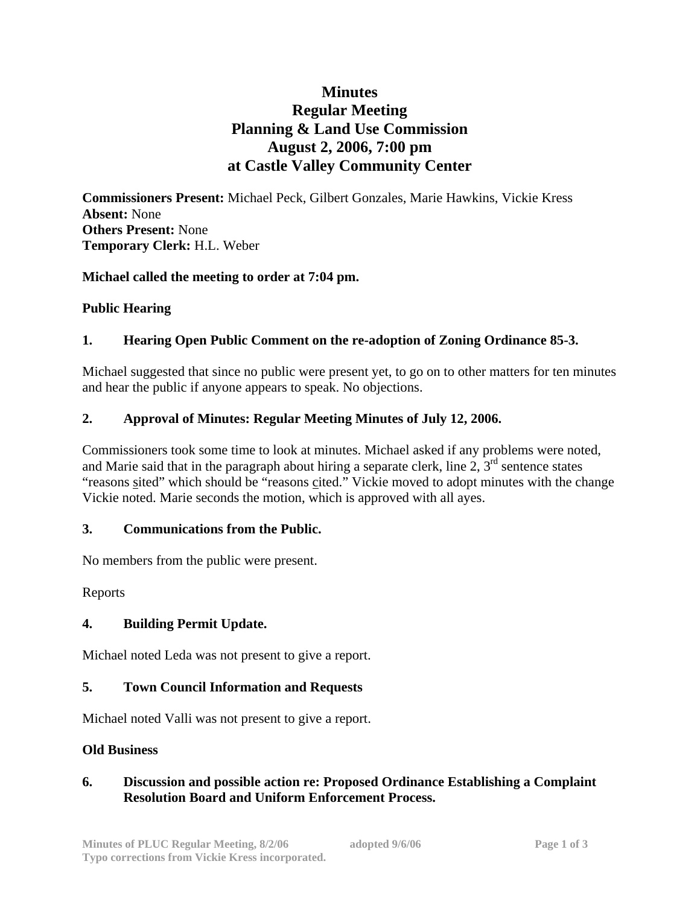# **Minutes Regular Meeting Planning & Land Use Commission August 2, 2006, 7:00 pm at Castle Valley Community Center**

**Commissioners Present:** Michael Peck, Gilbert Gonzales, Marie Hawkins, Vickie Kress **Absent:** None **Others Present:** None **Temporary Clerk:** H.L. Weber

## **Michael called the meeting to order at 7:04 pm.**

## **Public Hearing**

## **1. Hearing Open Public Comment on the re-adoption of Zoning Ordinance 85-3.**

Michael suggested that since no public were present yet, to go on to other matters for ten minutes and hear the public if anyone appears to speak. No objections.

## **2. Approval of Minutes: Regular Meeting Minutes of July 12, 2006.**

Commissioners took some time to look at minutes. Michael asked if any problems were noted, and Marie said that in the paragraph about hiring a separate clerk, line  $2, 3^{rd}$  sentence states "reasons sited" which should be "reasons cited." Vickie moved to adopt minutes with the change Vickie noted. Marie seconds the motion, which is approved with all ayes.

#### **3. Communications from the Public.**

No members from the public were present.

Reports

#### **4. Building Permit Update.**

Michael noted Leda was not present to give a report.

#### **5. Town Council Information and Requests**

Michael noted Valli was not present to give a report.

#### **Old Business**

## **6. Discussion and possible action re: Proposed Ordinance Establishing a Complaint Resolution Board and Uniform Enforcement Process.**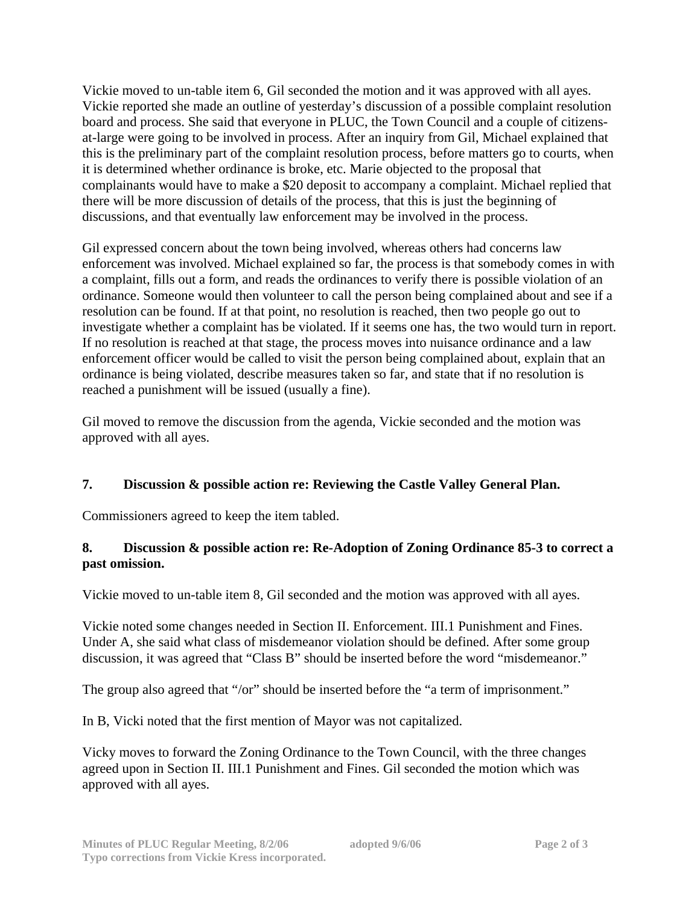Vickie moved to un-table item 6, Gil seconded the motion and it was approved with all ayes. Vickie reported she made an outline of yesterday's discussion of a possible complaint resolution board and process. She said that everyone in PLUC, the Town Council and a couple of citizensat-large were going to be involved in process. After an inquiry from Gil, Michael explained that this is the preliminary part of the complaint resolution process, before matters go to courts, when it is determined whether ordinance is broke, etc. Marie objected to the proposal that complainants would have to make a \$20 deposit to accompany a complaint. Michael replied that there will be more discussion of details of the process, that this is just the beginning of discussions, and that eventually law enforcement may be involved in the process.

Gil expressed concern about the town being involved, whereas others had concerns law enforcement was involved. Michael explained so far, the process is that somebody comes in with a complaint, fills out a form, and reads the ordinances to verify there is possible violation of an ordinance. Someone would then volunteer to call the person being complained about and see if a resolution can be found. If at that point, no resolution is reached, then two people go out to investigate whether a complaint has be violated. If it seems one has, the two would turn in report. If no resolution is reached at that stage, the process moves into nuisance ordinance and a law enforcement officer would be called to visit the person being complained about, explain that an ordinance is being violated, describe measures taken so far, and state that if no resolution is reached a punishment will be issued (usually a fine).

Gil moved to remove the discussion from the agenda, Vickie seconded and the motion was approved with all ayes.

# **7. Discussion & possible action re: Reviewing the Castle Valley General Plan.**

Commissioners agreed to keep the item tabled.

## **8. Discussion & possible action re: Re-Adoption of Zoning Ordinance 85-3 to correct a past omission.**

Vickie moved to un-table item 8, Gil seconded and the motion was approved with all ayes.

Vickie noted some changes needed in Section II. Enforcement. III.1 Punishment and Fines. Under A, she said what class of misdemeanor violation should be defined. After some group discussion, it was agreed that "Class B" should be inserted before the word "misdemeanor."

The group also agreed that "/or" should be inserted before the "a term of imprisonment."

In B, Vicki noted that the first mention of Mayor was not capitalized.

Vicky moves to forward the Zoning Ordinance to the Town Council, with the three changes agreed upon in Section II. III.1 Punishment and Fines. Gil seconded the motion which was approved with all ayes.